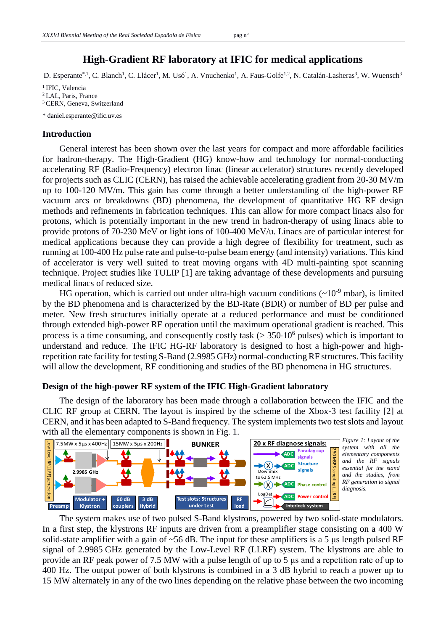# **High-Gradient RF laboratory at IFIC for medical applications**

D. Esperante<sup>\*,1</sup>, C. Blanch<sup>1</sup>, C. Llácer<sup>1</sup>, M. Usó<sup>1</sup>, A. Vnuchenko<sup>1</sup>, A. Faus-Golfe<sup>1,2</sup>, N. Catalán-Lasheras<sup>3</sup>, W. Wuensch<sup>3</sup>

<sup>1</sup> IFIC, Valencia <sup>2</sup> LAL, Paris, France <sup>3</sup> CERN, Geneva, Switzerland

\* daniel.esperante@ific.uv.es

### **Introduction**

General interest has been shown over the last years for compact and more affordable facilities for hadron-therapy. The High-Gradient (HG) know-how and technology for normal-conducting accelerating RF (Radio-Frequency) electron linac (linear accelerator) structures recently developed for projects such as CLIC (CERN), has raised the achievable accelerating gradient from 20-30 MV/m up to 100-120 MV/m. This gain has come through a better understanding of the high-power RF vacuum arcs or breakdowns (BD) phenomena, the development of quantitative HG RF design methods and refinements in fabrication techniques. This can allow for more compact linacs also for protons, which is potentially important in the new trend in hadron-therapy of using linacs able to provide protons of 70-230 MeV or light ions of 100-400 MeV/u. Linacs are of particular interest for medical applications because they can provide a high degree of flexibility for treatment, such as running at 100-400 Hz pulse rate and pulse-to-pulse beam energy (and intensity) variations. This kind of accelerator is very well suited to treat moving organs with 4D multi-painting spot scanning technique. Project studies like TULIP [1] are taking advantage of these developments and pursuing medical linacs of reduced size.

HG operation, which is carried out under ultra-high vacuum conditions  $({\sim}10^{-9}$  mbar), is limited by the BD phenomena and is characterized by the BD-Rate (BDR) or number of BD per pulse and meter. New fresh structures initially operate at a reduced performance and must be conditioned through extended high-power RF operation until the maximum operational gradient is reached. This process is a time consuming, and consequently costly task  $(> 350 \cdot 10^6$  pulses) which is important to understand and reduce. The IFIC HG-RF laboratory is designed to host a high-power and highrepetition rate facility for testing S-Band (2.9985 GHz) normal-conducting RF structures. This facility will allow the development, RF conditioning and studies of the BD phenomena in HG structures.

## **Design of the high-power RF system of the IFIC High-Gradient laboratory**

The design of the laboratory has been made through a collaboration between the IFIC and the CLIC RF group at CERN. The layout is inspired by the scheme of the Xbox-3 test facility [2] at CERN, and it has been adapted to S-Band frequency. The system implements two test slots and layout with all the elementary components is shown in Fig. 1.



The system makes use of two pulsed S-Band klystrons, powered by two solid-state modulators. In a first step, the klystrons RF inputs are driven from a preamplifier stage consisting on a 400 W solid-state amplifier with a gain of ~56 dB. The input for these amplifiers is a 5 μs length pulsed RF signal of 2.9985 GHz generated by the Low-Level RF (LLRF) system. The klystrons are able to provide an RF peak power of 7.5 MW with a pulse length of up to 5 μs and a repetition rate of up to 400 Hz. The output power of both klystrons is combined in a 3 dB hybrid to reach a power up to For SHARK 516 x 400Hz 15MW x 5µs x 200Hz 1<br>
<br> **15 MW alternately in any of the two lines depending on the relative phase control in a first step, the klystrons RF inputs are diven for the same control in a first step,**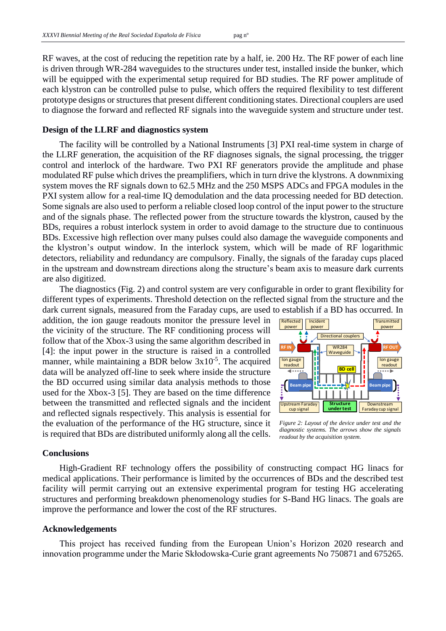RF waves, at the cost of reducing the repetition rate by a half, ie. 200 Hz. The RF power of each line is driven through WR-284 waveguides to the structures under test, installed inside the bunker, which will be equipped with the experimental setup required for BD studies. The RF power amplitude of each klystron can be controlled pulse to pulse, which offers the required flexibility to test different prototype designs or structures that present different conditioning states. Directional couplers are used to diagnose the forward and reflected RF signals into the waveguide system and structure under test.

#### **Design of the LLRF and diagnostics system**

The facility will be controlled by a National Instruments [3] PXI real-time system in charge of the LLRF generation, the acquisition of the RF diagnoses signals, the signal processing, the trigger control and interlock of the hardware. Two PXI RF generators provide the amplitude and phase modulated RF pulse which drives the preamplifiers, which in turn drive the klystrons. A downmixing system moves the RF signals down to 62.5 MHz and the 250 MSPS ADCs and FPGA modules in the PXI system allow for a real-time IQ demodulation and the data processing needed for BD detection. Some signals are also used to perform a reliable closed loop control of the input power to the structure and of the signals phase. The reflected power from the structure towards the klystron, caused by the BDs, requires a robust interlock system in order to avoid damage to the structure due to continuous BDs. Excessive high reflection over many pulses could also damage the waveguide components and the klystron's output window. In the interlock system, which will be made of RF logarithmic detectors, reliability and redundancy are compulsory. Finally, the signals of the faraday cups placed in the upstream and downstream directions along the structure's beam axis to measure dark currents are also digitized.

The diagnostics (Fig. 2) and control system are very configurable in order to grant flexibility for different types of experiments. Threshold detection on the reflected signal from the structure and the dark current signals, measured from the Faraday cups, are used to establish if a BD has occurred. In

addition, the ion gauge readouts monitor the pressure level in the vicinity of the structure. The RF conditioning process will follow that of the Xbox-3 using the same algorithm described in [4]: the input power in the structure is raised in a controlled manner, while maintaining a BDR below 3x10<sup>-5</sup>. The acquired data will be analyzed off-line to seek where inside the structure the BD occurred using similar data analysis methods to those used for the Xbox-3 [5]. They are based on the time difference between the transmitted and reflected signals and the incident and reflected signals respectively. This analysis is essential for the evaluation of the performance of the HG structure, since it is required that BDs are distributed uniformly along all the cells.



*Figure 2: Layout of the device under test and the diagnostic systems. The arrows show the signals readout by the acquisition system.*

#### **Conclusions**

High-Gradient RF technology offers the possibility of constructing compact HG linacs for medical applications. Their performance is limited by the occurrences of BDs and the described test facility will permit carrying out an extensive experimental program for testing HG accelerating structures and performing breakdown phenomenology studies for S-Band HG linacs. The goals are improve the performance and lower the cost of the RF structures.

### **Acknowledgements**

This project has received funding from the European Union's Horizon 2020 research and innovation programme under the Marie Skłodowska-Curie grant agreements No 750871 and 675265.